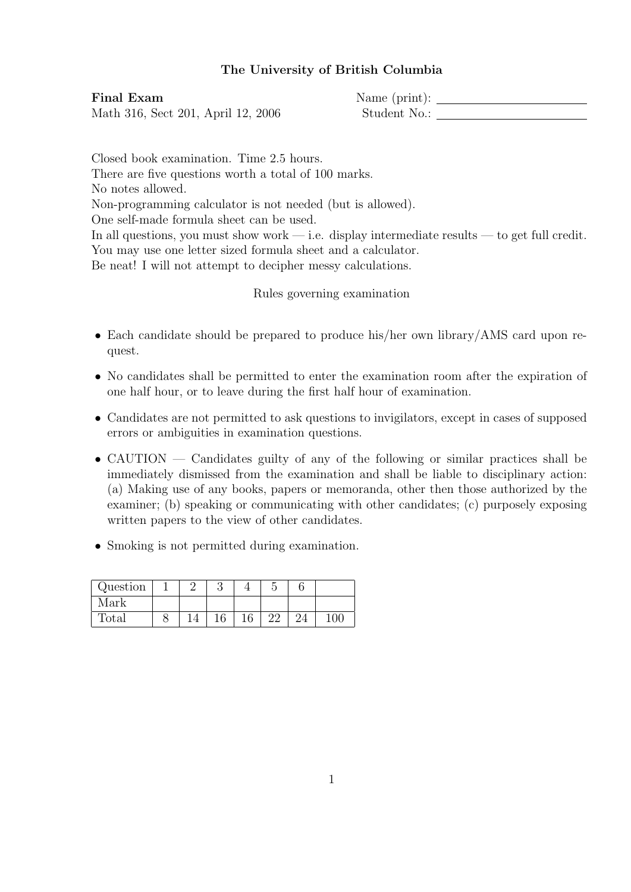## The University of British Columbia

Final Exam Name (print): Math 316, Sect 201, April 12, 2006 Student No.:

Closed book examination. Time 2.5 hours. There are five questions worth a total of 100 marks. No notes allowed. Non-programming calculator is not needed (but is allowed). One self-made formula sheet can be used. In all questions, you must show work — i.e. display intermediate results — to get full credit. You may use one letter sized formula sheet and a calculator. Be neat! I will not attempt to decipher messy calculations.

Rules governing examination

- Each candidate should be prepared to produce his/her own library/AMS card upon request.
- No candidates shall be permitted to enter the examination room after the expiration of one half hour, or to leave during the first half hour of examination.
- Candidates are not permitted to ask questions to invigilators, except in cases of supposed errors or ambiguities in examination questions.
- CAUTION Candidates guilty of any of the following or similar practices shall be immediately dismissed from the examination and shall be liable to disciplinary action: (a) Making use of any books, papers or memoranda, other then those authorized by the examiner; (b) speaking or communicating with other candidates; (c) purposely exposing written papers to the view of other candidates.
- Smoking is not permitted during examination.

| Question |  |     |  |     |
|----------|--|-----|--|-----|
| Mark     |  |     |  |     |
| Total    |  | 1 G |  | LOC |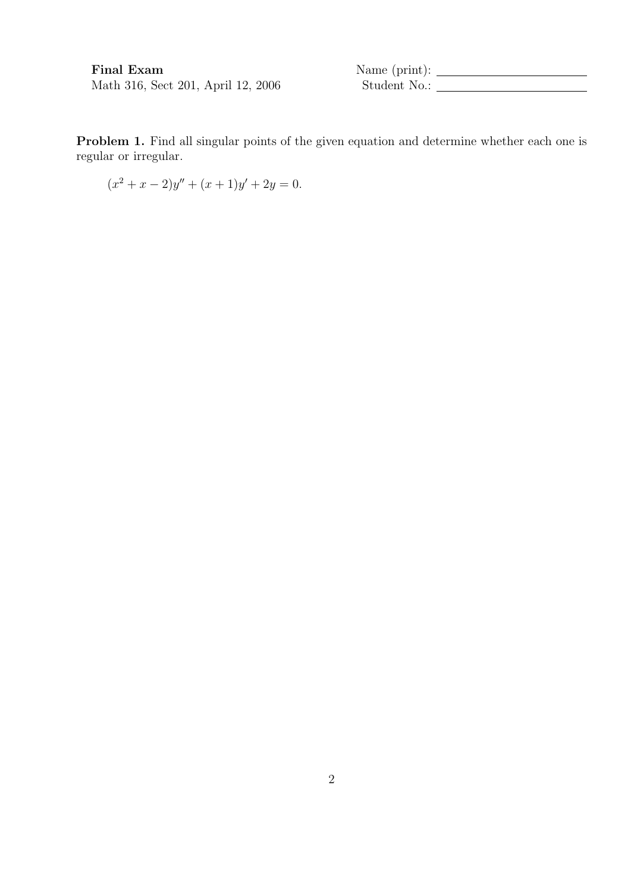$\begin{minipage}{.4\linewidth} \textbf{Final Exam} & \textbf{Name (print):} \begin{minipage}{.4\linewidth} \textbf{13.16, Sect 201, April 12, 2006} & \textbf{Student No.:} \end{minipage} \end{minipage}$ 

Problem 1. Find all singular points of the given equation and determine whether each one is regular or irregular.

$$
(x2 + x - 2)y'' + (x + 1)y' + 2y = 0.
$$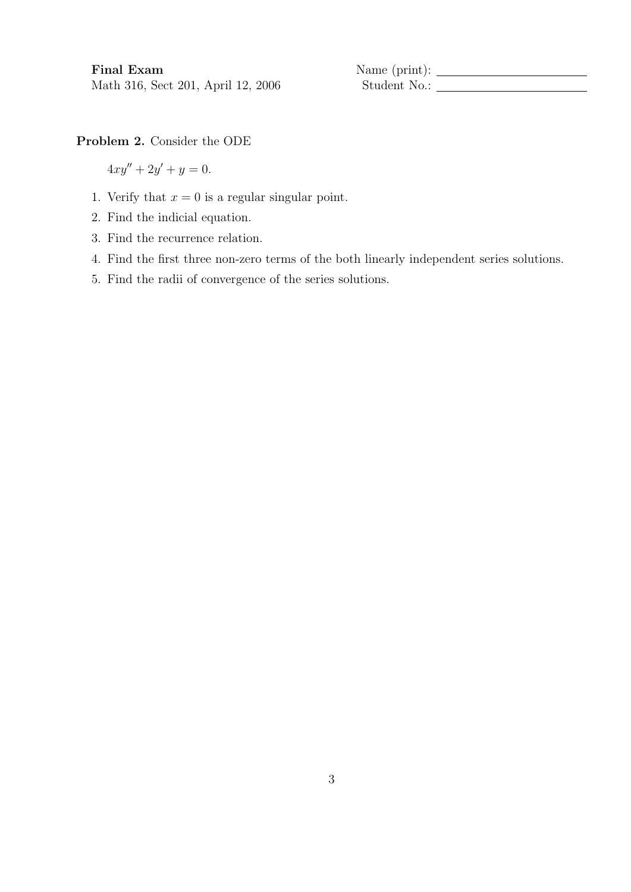Final Exam Name (print):

Problem 2. Consider the ODE

 $4xy'' + 2y' + y = 0.$ 

- 1. Verify that  $x = 0$  is a regular singular point.
- 2. Find the indicial equation.
- 3. Find the recurrence relation.
- 4. Find the first three non-zero terms of the both linearly independent series solutions.
- 5. Find the radii of convergence of the series solutions.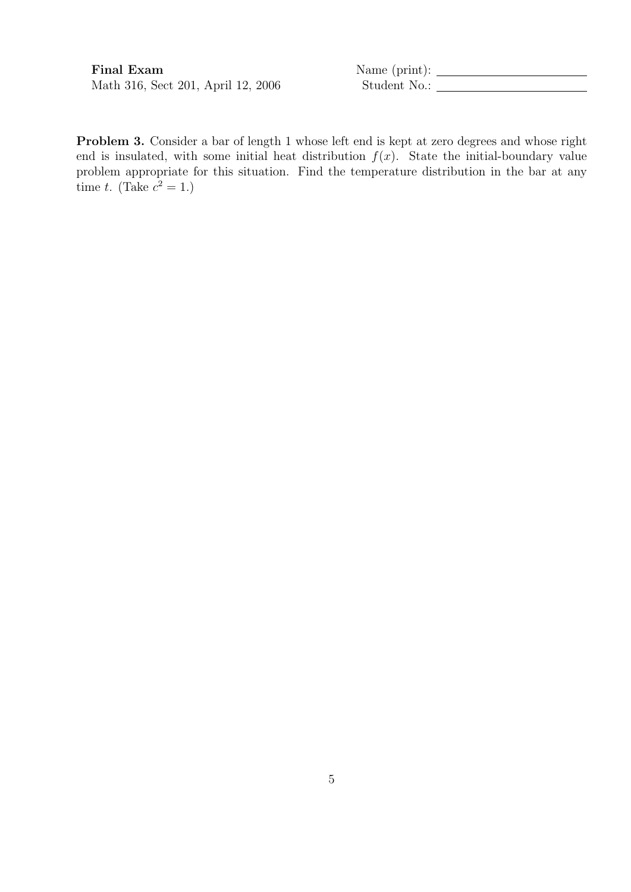Math 316, Sect 201, April 12, 2006 Student No.:

Final Exam Name (print):

Problem 3. Consider a bar of length 1 whose left end is kept at zero degrees and whose right end is insulated, with some initial heat distribution  $f(x)$ . State the initial-boundary value problem appropriate for this situation. Find the temperature distribution in the bar at any time t. (Take  $c^2 = 1$ .)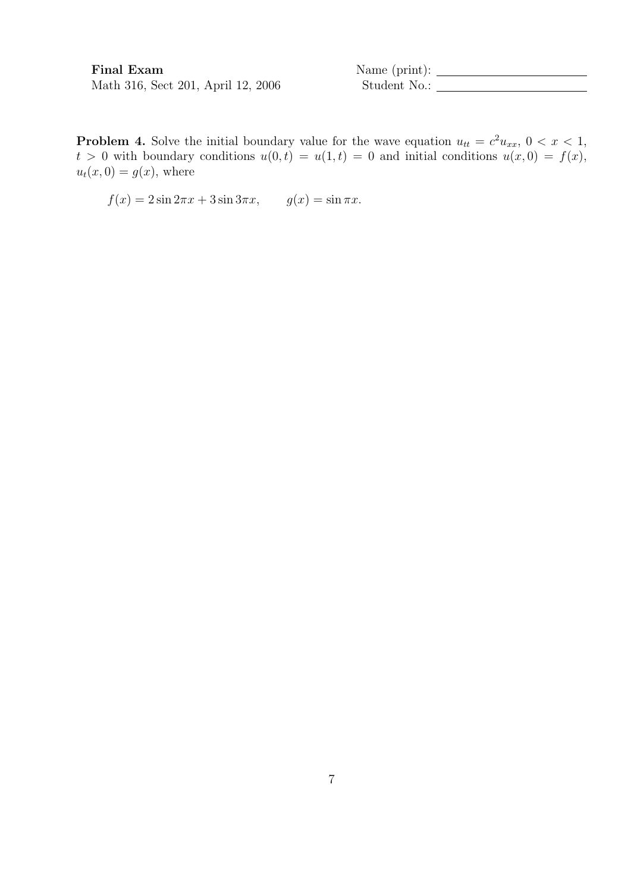Final Exam Name (print):

**Problem 4.** Solve the initial boundary value for the wave equation  $u_{tt} = c^2 u_{xx}$ ,  $0 < x < 1$ ,  $t > 0$  with boundary conditions  $u(0, t) = u(1, t) = 0$  and initial conditions  $u(x, 0) = f(x)$ ,  $u_t(x, 0) = g(x)$ , where

 $f(x) = 2 \sin 2\pi x + 3 \sin 3\pi x$ ,  $g(x) = \sin \pi x$ .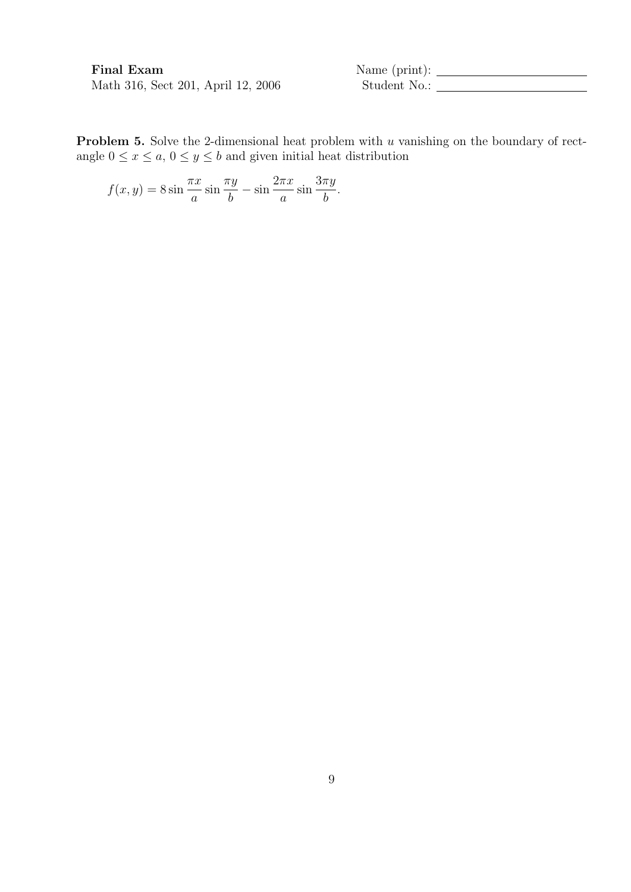$\begin{minipage}{.4\linewidth} \textbf{Final Exam} & \textbf{Name (print):} \begin{minipage}{.4\linewidth} \textbf{12, 2006} & \textbf{Student No.:} \end{minipage} \end{minipage}$ 

Problem 5. Solve the 2-dimensional heat problem with u vanishing on the boundary of rectangle  $0 \le x \le a, 0 \le y \le b$  and given initial heat distribution

$$
f(x,y) = 8\sin\frac{\pi x}{a}\sin\frac{\pi y}{b} - \sin\frac{2\pi x}{a}\sin\frac{3\pi y}{b}.
$$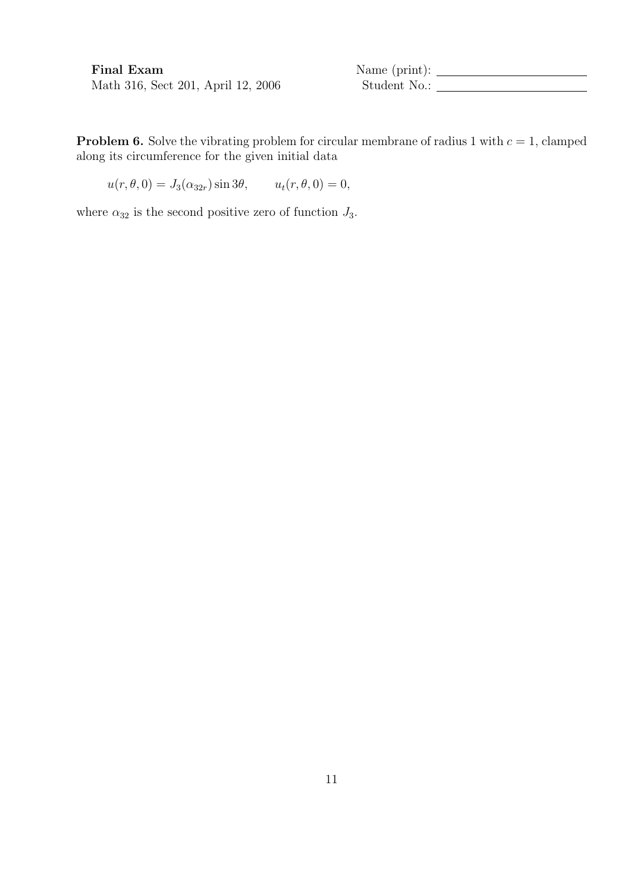Final Exam Name (print):

**Problem 6.** Solve the vibrating problem for circular membrane of radius 1 with  $c = 1$ , clamped along its circumference for the given initial data

 $u(r, \theta, 0) = J_3(\alpha_{32r}) \sin 3\theta, \qquad u_t(r, \theta, 0) = 0,$ 

where  $\alpha_{32}$  is the second positive zero of function  $J_3$ .